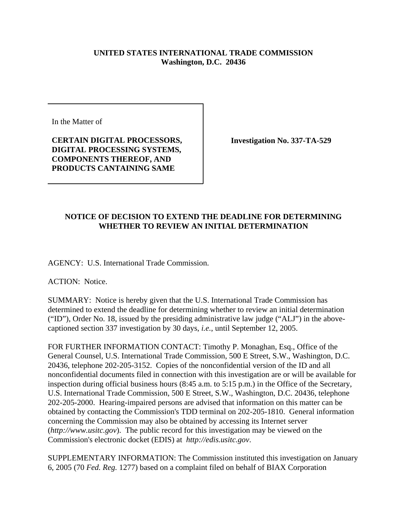## **UNITED STATES INTERNATIONAL TRADE COMMISSION Washington, D.C. 20436**

In the Matter of

## **CERTAIN DIGITAL PROCESSORS, DIGITAL PROCESSING SYSTEMS, COMPONENTS THEREOF, AND PRODUCTS CANTAINING SAME**

**Investigation No. 337-TA-529**

## **NOTICE OF DECISION TO EXTEND THE DEADLINE FOR DETERMINING WHETHER TO REVIEW AN INITIAL DETERMINATION**

AGENCY: U.S. International Trade Commission.

ACTION: Notice.

SUMMARY: Notice is hereby given that the U.S. International Trade Commission has determined to extend the deadline for determining whether to review an initial determination ("ID"), Order No. 18, issued by the presiding administrative law judge ("ALJ") in the abovecaptioned section 337 investigation by 30 days, *i.e.*, until September 12, 2005.

FOR FURTHER INFORMATION CONTACT: Timothy P. Monaghan, Esq., Office of the General Counsel, U.S. International Trade Commission, 500 E Street, S.W., Washington, D.C. 20436, telephone 202-205-3152. Copies of the nonconfidential version of the ID and all nonconfidential documents filed in connection with this investigation are or will be available for inspection during official business hours (8:45 a.m. to 5:15 p.m.) in the Office of the Secretary, U.S. International Trade Commission, 500 E Street, S.W., Washington, D.C. 20436, telephone 202-205-2000. Hearing-impaired persons are advised that information on this matter can be obtained by contacting the Commission's TDD terminal on 202-205-1810. General information concerning the Commission may also be obtained by accessing its Internet server (*http://www.usitc.gov*). The public record for this investigation may be viewed on the Commission's electronic docket (EDIS) at *http://edis.usitc.gov*.

SUPPLEMENTARY INFORMATION: The Commission instituted this investigation on January 6, 2005 (70 *Fed. Reg.* 1277) based on a complaint filed on behalf of BIAX Corporation